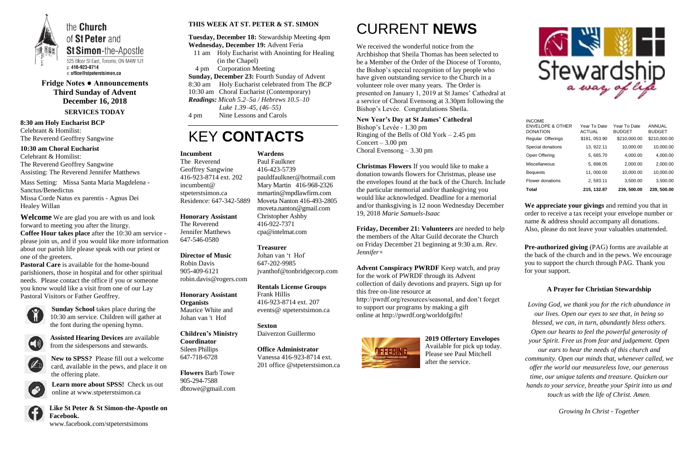

**Fridge Notes ● Announcements Third Sunday of Advent December 16, 2018 SERVICES TODAY**

#### **8:30 am Holy Eucharist BCP** Celebrant & Homilist: The Reverend Geoffrey Sangwine

**10:30 am Choral Eucharist** Celebrant & Homilist: The Reverend Geoffrey Sangwine Assisting: The Reverend Jennifer Matthews

Mass Setting: Missa Santa Maria Magdelena - Sanctus/Benedictus Missa Corde Natus ex parentis - Agnus Dei Healey Willan

**Welcome** We are glad you are with us and look forward to meeting you after the liturgy. **Coffee Hour takes place** after the 10:30 am service -

please join us, and if you would like more information about our parish life please speak with our priest or one of the greeters.

**Pastoral Care** is available for the home-bound parishioners, those in hospital and for other spiritual needs. Please contact the office if you or someone you know would like a visit from one of our Lay Pastoral Visitors or Father Geoffrey.



**Sunday School** takes place during the 10:30 am service. Children will gather at the font during the opening hymn.



**Assisted Hearing Devices** are available from the sidespersons and stewards.



**New to SPSS?** Please fill out a welcome card, available in the pews, and place it on the offering plate.

**Learn more about SPSS!** Check us out online at www.stpeterstsimon.ca



**Like St Peter & St Simon-the-Apostle on Facebook.**  www.facebook.com/stpeterstsimons

#### **THIS WEEK AT ST. PETER & ST. SIMON**

**Tuesday, December 18:** Stewardship Meeting 4pm **Wednesday, December 19:** Advent Feria

- 11 am Holy Eucharist with Anointing for Healing (in the Chapel)
- 4 pm Corporation Meeting
- **Sunday, December 23:** Fourth Sunday of Advent
- 8:30 am Holy Eucharist celebrated from The *BCP*
- 10:30 am Choral Eucharist (Contemporary) *Readings: Micah 5.2–5a / Hebrews 10.5–10*

*Luke 1.39–45, (46–55)*

4 pm Nine Lessons and Carols

## KEY **CONTACTS**

# CURRENT **NEWS**

**Pre-authorized giving (PAG) forms are available at** the back of the church and in the pews. We encourage you to support the church through PAG. Thank you for your support.

We received the wonderful notice from the Archbishop that Sheila Thomas has been selected to be a Member of the Order of the Diocese of Toronto, the Bishop's special recognition of lay people who have given outstanding service to the Church in a volunteer role over many years. The Order is presented on January 1, 2019 at St James' Cathedral at a service of Choral Evensong at 3.30pm following the Bishop's Levée. Congratulations Sheila.

#### **New Year's Day at St James' Cathedral**

Bishop's Levée - 1.30 pm Ringing of the Bells of Old York – 2.45 pm Concert –  $3.00 \text{ pm}$ Choral Evensong – 3.30 pm

**Christmas Flowers** If you would like to make a donation towards flowers for Christmas, please use the envelopes found at the back of the Church. Include the particular memorial and/or thanksgiving you would like acknowledged. Deadline for a memorial and/or thanksgiving is 12 noon Wednesday December 19, 2018 *Marie Samuels-Isaac*

**Friday, December 21: Volunteers** are needed to help the members of the Altar Guild decorate the Church on Friday December 21 beginning at 9:30 a.m. *Rev. Jennifer+*

**Advent Conspiracy PWRDF** Keep watch, and pray for the work of PWRDF through its Advent collection of daily devotions and prayers. Sign up for this free on-line resource at http://pwrdf.org/resources/seasonal, and don't forget to support our programs by making a gift online at http://pwrdf.org/worldofgifts!



**2019 Offertory Envelopes** Available for pick up today. Please see Paul Mitchell after the service.



**We appreciate your givings** and remind you that in order to receive a tax receipt your envelope number or name & address should accompany all donations. Also, please do not leave your valuables unattended.

#### **A Prayer for Christian Stewardship**

*Loving God, we thank you for the rich abundance in our lives. Open our eyes to see that, in being so blessed, we can, in turn, abundantly bless others. Open our hearts to feel the powerful generosity of your Spirit. Free us from fear and judgement. Open our ears to hear the needs of this church and community. Open our minds that, whenever called, we offer the world our measureless love, our generous time, our unique talents and treasure. Quicken our hands to your service, breathe your Spirit into us and touch us with the life of Christ. Amen.* 

*Growing In Christ - Together*

#### **Incumbent**

The Reverend Geoffrey Sangwine 416-923-8714 ext. 202 incumbent@ stpeterstsimon.ca Residence: 647-342-5889

**Honorary Assistant**

The Reverend Jennifer Matthews 647-546-0580

**Director of Music**  Robin Davis 905-409-6121 robin.davis@rogers.com

**Honorary Assistant Organists**  Maurice White and Johan van 't Hof

**Children's Ministry Coordinator** Sileen Phillips 647-718-6728

**Flowers** Barb Towe 905-294-7588 dbtowe@gmail.com

**Wardens**  Paul Faulkner 416-423-5739 [pauldfaulkner@hotmail.com](mailto:pauldfaulkner@hotmail.com)  Mary Martin 416-968-2326 mmartin@mpdlawfirm.com Moveta Nanton 416-493-2805 moveta.nanton@gmail.com Christopher Ashby 416-922-7371 cpa@intelmat.com

#### **Treasurer**

Johan van 't Hof 647-202-9985 jvanthof@tonbridgecorp.com

**Rentals License Groups** Frank Hillis 416-923-8714 ext. 207 events@ stpeterstsimon.ca

**Sexton** Daiverzon Guillermo

**Office Administrator** Vanessa 416-923-8714 ext. 201 office @stpeterstsimon.ca

| Total                                                           | 215, 132.87                   | 239, 500.00                   | 239, 500.00                    |
|-----------------------------------------------------------------|-------------------------------|-------------------------------|--------------------------------|
| Flower donations                                                | 2, 593.11                     | 3,500.00                      | 3,500.00                       |
| <b>Bequests</b>                                                 | 11,000.00                     | 10,000.00                     | 10,000.00                      |
| Miscellaneous                                                   | 5, 898.05                     | 2,000.00                      | 2,000.00                       |
| Open Offering                                                   | 5, 665.70                     | 4,000.00                      | 4,000.00                       |
| Special donations                                               | 13, 922.11                    | 10,000.00                     | 10,000.00                      |
| Regular Offerings                                               | \$181, 053.90                 | \$210,000.00                  | \$210,000.00                   |
| <b>INCOME</b><br><b>ENVELOPE &amp; OTHER</b><br><b>DONATION</b> | Year To Date<br><b>ACTUAL</b> | Year To Date<br><b>BUDGET</b> | <b>ANNUAL</b><br><b>BUDGET</b> |